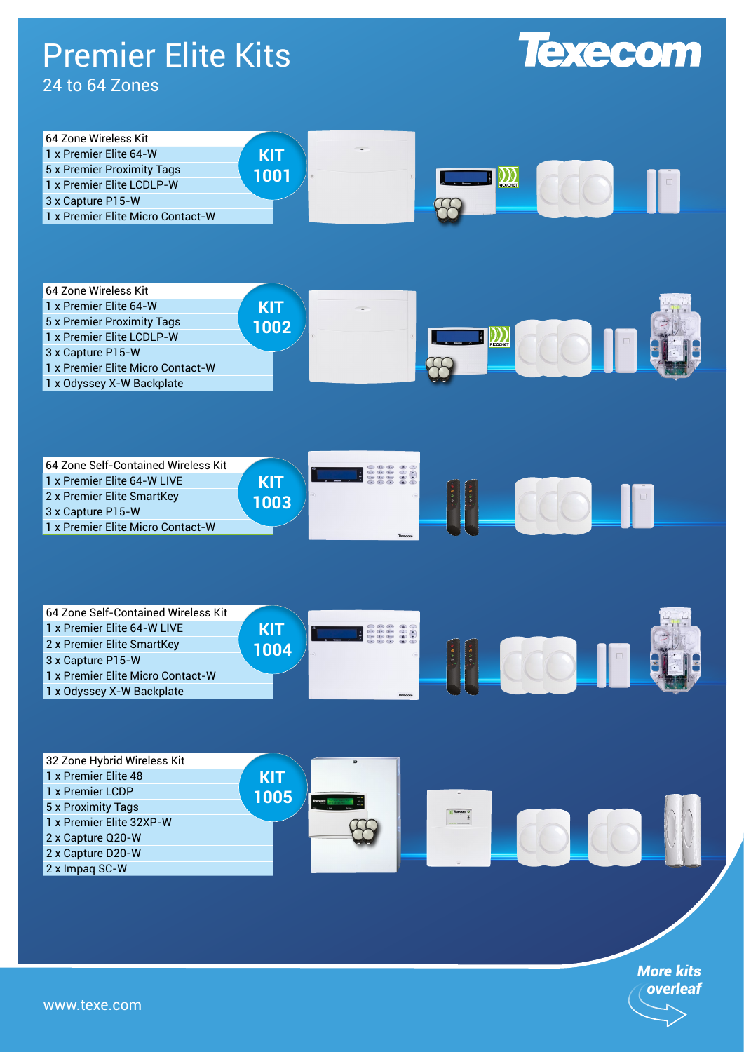## Premier Elite Kits

## 24 to 64 Zones





| 64 Zone Wireless Kit              |      |                          |  |
|-----------------------------------|------|--------------------------|--|
| 1 x Premier Elite 64-W            | KIT  | $\overline{\phantom{a}}$ |  |
| 5 x Premier Proximity Tags        | 1002 |                          |  |
| 1 x Premier Elite LCDLP-W         |      |                          |  |
| 3 x Capture P15-W                 |      |                          |  |
| 1 x Premier Elite Micro Contact-W |      |                          |  |
| 1 x Odyssey X-W Backplate         |      |                          |  |



| 54 Zone Self-Contained Wireless Kit |     |         |  |  |
|-------------------------------------|-----|---------|--|--|
| 1 x Premier Elite 64-W LIVE         | KIT |         |  |  |
| 2 x Premier Elite SmartKey          | በበ4 |         |  |  |
| 3 x Capture P15-W                   |     |         |  |  |
| 1 x Premier Elite Micro Contact-W   |     |         |  |  |
| 1 x Odyssey X-W Backplate           |     | Texpoor |  |  |



*More kits overleaf*